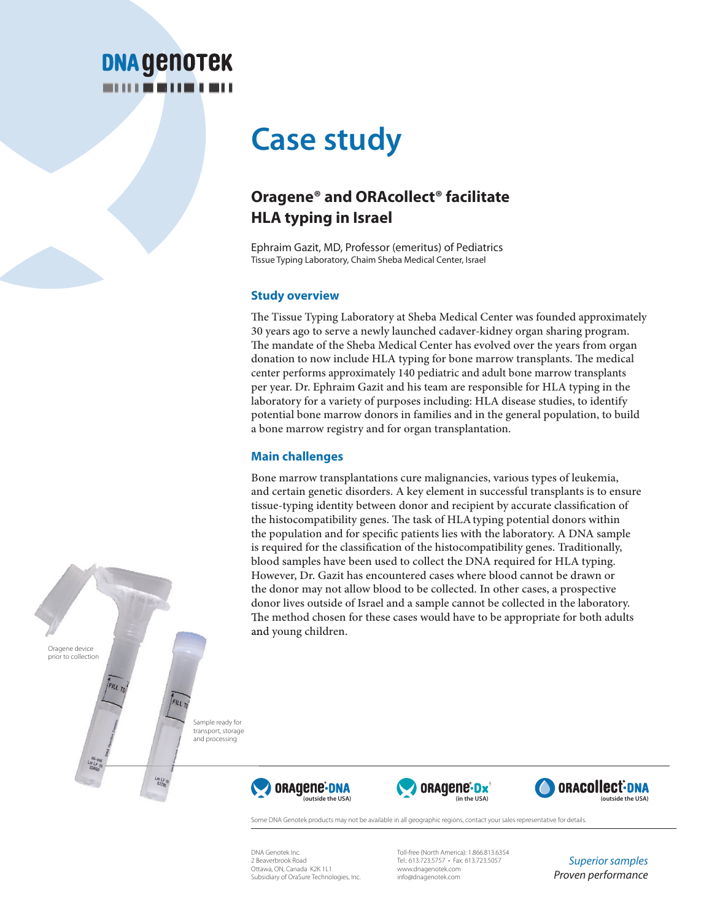# **DNA GENOTEK**

## **Case study**

### **Oragene® and ORAcollect® facilitate HLA typing in Israel**

Ephraim Gazit, MD, Professor (emeritus) of Pediatrics Tissue Typing Laboratory, Chaim Sheba Medical Center, Israel

#### **Study overview**

The Tissue Typing Laboratory at Sheba Medical Center was founded approximately 30 years ago to serve a newly launched cadaver-kidney organ sharing program. The mandate of the Sheba Medical Center has evolved over the years from organ donation to now include HLA typing for bone marrow transplants. The medical center performs approximately 140 pediatric and adult bone marrow transplants per year. Dr. Ephraim Gazit and his team are responsible for HLA typing in the laboratory for a variety of purposes including: HLA disease studies, to identify potential bone marrow donors in families and in the general population, to build a bone marrow registry and for organ transplantation.

#### **Main challenges**

Bone marrow transplantations cure malignancies, various types of leukemia, and certain genetic disorders. A key element in successful transplants is to ensure tissue-typing identity between donor and recipient by accurate classification of the histocompatibility genes. The task of HLA typing potential donors within the population and for specific patients lies with the laboratory. A DNA sample is required for the classification of the histocompatibility genes. Traditionally, blood samples have been used to collect the DNA required for HLA typing. However, Dr. Gazit has encountered cases where blood cannot be drawn or the donor may not allow blood to be collected. In other cases, a prospective donor lives outside of Israel and a sample cannot be collected in the laboratory. The method chosen for these cases would have to be appropriate for both adults and young children.

Oragene device prior to collection

> Sample ready for transport, storage and processing







Some DNA Genotek products may not be available in all geographic regions, contact your sales representative for details

DNA Genotek Inc. 2 Beaverbrook Road Ottawa, ON, Canada K2K 1L1 Subsidiary of OraSure Technologies, Inc.

Toll-free (North America): 1.866.813.6354 Tel.: 613.723.5757 • Fax: 613.723.5057 www.dnagenotek.com info@dnagenotek.com

*Superior samples Proven performance*